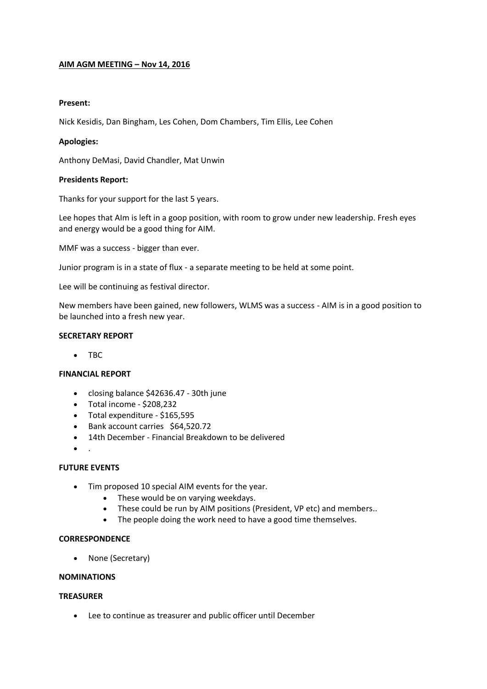# **AIM AGM MEETING – Nov 14, 2016**

# **Present:**

Nick Kesidis, Dan Bingham, Les Cohen, Dom Chambers, Tim Ellis, Lee Cohen

## **Apologies:**

Anthony DeMasi, David Chandler, Mat Unwin

### **Presidents Report:**

Thanks for your support for the last 5 years.

Lee hopes that AIm is left in a goop position, with room to grow under new leadership. Fresh eyes and energy would be a good thing for AIM.

MMF was a success - bigger than ever.

Junior program is in a state of flux - a separate meeting to be held at some point.

Lee will be continuing as festival director.

New members have been gained, new followers, WLMS was a success - AIM is in a good position to be launched into a fresh new year.

### **SECRETARY REPORT**

• TBC

# **FINANCIAL REPORT**

- closing balance \$42636.47 30th june
- $\bullet$  Total income \$208,232
- Total expenditure \$165,595
- Bank account carries \$64,520.72
- 14th December Financial Breakdown to be delivered
- $\bullet$

# **FUTURE EVENTS**

- Tim proposed 10 special AIM events for the year.
	- These would be on varying weekdays.
	- These could be run by AIM positions (President, VP etc) and members..
	- The people doing the work need to have a good time themselves.

### **CORRESPONDENCE**

• None (Secretary)

## **NOMINATIONS**

### **TREASURER**

Lee to continue as treasurer and public officer until December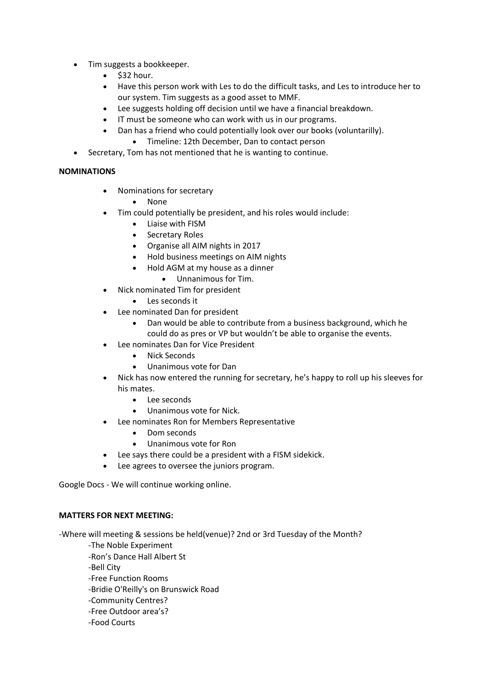- Tim suggests a bookkeeper.
	- $\bullet$  \$32 hour.
	- Have this person work with Les to do the difficult tasks, and Les to introduce her to our system. Tim suggests as a good asset to MMF.
	- Lee suggests holding off decision until we have a financial breakdown.
	- IT must be someone who can work with us in our programs.
	- Dan has a friend who could potentially look over our books (voluntarilly).
		- Timeline: 12th December, Dan to contact person
- Secretary, Tom has not mentioned that he is wanting to continue.

# **NOMINATIONS**

- Nominations for secretary
	- None
- Tim could potentially be president, and his roles would include:
	- Liaise with FISM
	- Secretary Roles
	- Organise all AIM nights in 2017
	- Hold business meetings on AIM nights
	- Hold AGM at my house as a dinner
		- Unnanimous for Tim.
- Nick nominated Tim for president
	- Les seconds it
- Lee nominated Dan for president
	- Dan would be able to contribute from a business background, which he could do as pres or VP but wouldn't be able to organise the events.
- Lee nominates Dan for Vice President
	- Nick Seconds
	- Unanimous vote for Dan
- Nick has now entered the running for secretary, he's happy to roll up his sleeves for his mates.
	- Lee seconds
	- Unanimous vote for Nick.
- Lee nominates Ron for Members Representative
	- Dom seconds
	- Unanimous vote for Ron
- Lee says there could be a president with a FISM sidekick.
- Lee agrees to oversee the juniors program.

Google Docs - We will continue working online.

# **MATTERS FOR NEXT MEETING:**

-Where will meeting & sessions be held(venue)? 2nd or 3rd Tuesday of the Month?

- -The Noble Experiment
- -Ron's Dance Hall Albert St
- -Bell City
- -Free Function Rooms
- -Bridie O'Reilly's on Brunswick Road
- -Community Centres?
- -Free Outdoor area's?
- -Food Courts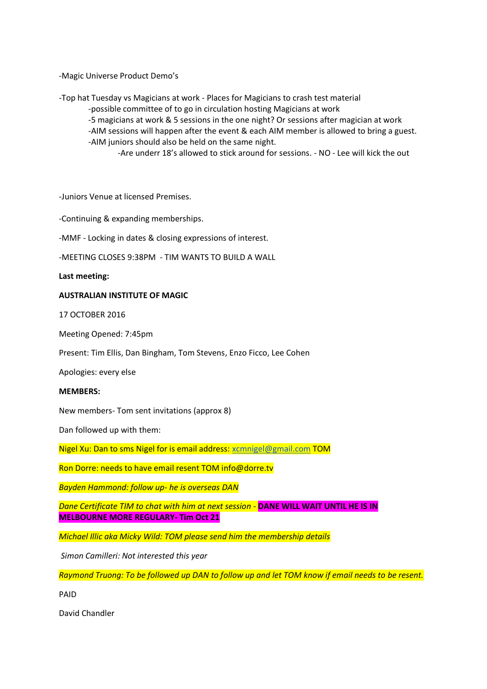-Magic Universe Product Demo's

-Top hat Tuesday vs Magicians at work - Places for Magicians to crash test material

-possible committee of to go in circulation hosting Magicians at work

-5 magicians at work & 5 sessions in the one night? Or sessions after magician at work

-AIM sessions will happen after the event & each AIM member is allowed to bring a guest. -AIM juniors should also be held on the same night.

-Are underr 18's allowed to stick around for sessions. - NO - Lee will kick the out

-Juniors Venue at licensed Premises.

-Continuing & expanding memberships.

-MMF - Locking in dates & closing expressions of interest.

-MEETING CLOSES 9:38PM - TIM WANTS TO BUILD A WALL

**Last meeting:**

## **AUSTRALIAN INSTITUTE OF MAGIC**

17 OCTOBER 2016

Meeting Opened: 7:45pm

Present: Tim Ellis, Dan Bingham, Tom Stevens, Enzo Ficco, Lee Cohen

Apologies: every else

### **MEMBERS:**

New members- Tom sent invitations (approx 8)

Dan followed up with them:

Nigel Xu: Dan to sms Nigel for is email address[: xcmnigel@gmail.com](mailto:xcmnigel@gmail.com) TOM

Ron Dorre: needs to have email resent TOM info@dorre.tv

*Bayden Hammond: follow up- he is overseas DAN*

*Dane Certificate TIM to chat with him at next session -* **DANE WILL WAIT UNTIL HE IS IN MELBOURNE MORE REGULARY- Tim Oct 21**

*Michael Illic aka Micky Wild: TOM please send him the membership details*

*Simon Camilleri: Not interested this year*

*Raymond Truong: To be followed up DAN to follow up and let TOM know if email needs to be resent.*

PAID

David Chandler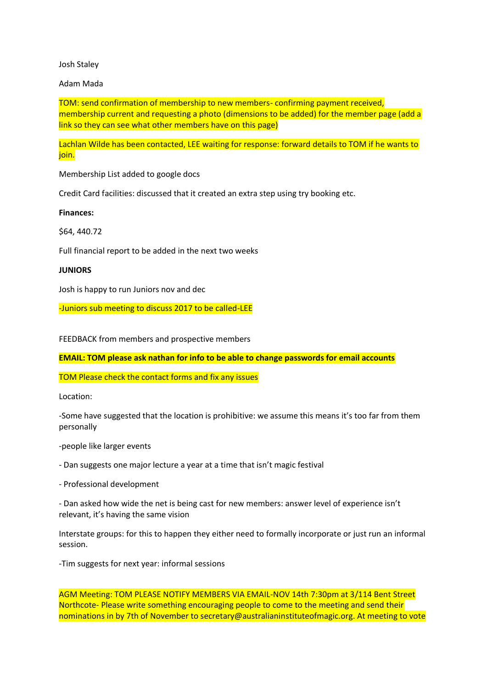### Josh Staley

## Adam Mada

TOM: send confirmation of membership to new members- confirming payment received, membership current and requesting a photo (dimensions to be added) for the member page (add a link so they can see what other members have on this page)

Lachlan Wilde has been contacted, LEE waiting for response: forward details to TOM if he wants to join.

Membership List added to google docs

Credit Card facilities: discussed that it created an extra step using try booking etc.

### **Finances:**

\$64, 440.72

Full financial report to be added in the next two weeks

### **JUNIORS**

Josh is happy to run Juniors nov and dec

-Juniors sub meeting to discuss 2017 to be called-LEE

FEEDBACK from members and prospective members

**EMAIL: TOM please ask nathan for info to be able to change passwords for email accounts**

TOM Please check the contact forms and fix any issues

Location:

-Some have suggested that the location is prohibitive: we assume this means it's too far from them personally

-people like larger events

- Dan suggests one major lecture a year at a time that isn't magic festival

- Professional development

- Dan asked how wide the net is being cast for new members: answer level of experience isn't relevant, it's having the same vision

Interstate groups: for this to happen they either need to formally incorporate or just run an informal session.

-Tim suggests for next year: informal sessions

AGM Meeting: TOM PLEASE NOTIFY MEMBERS VIA EMAIL-NOV 14th 7:30pm at 3/114 Bent Street Northcote- Please write something encouraging people to come to the meeting and send their nominations in by 7th of November to secretary@australianinstituteofmagic.org. At meeting to vote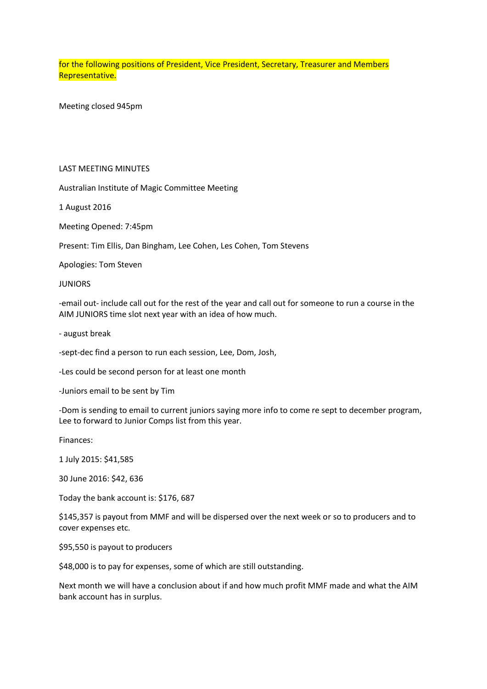for the following positions of President, Vice President, Secretary, Treasurer and Members Representative.

Meeting closed 945pm

### LAST MEETING MINUTES

Australian Institute of Magic Committee Meeting

1 August 2016

Meeting Opened: 7:45pm

Present: Tim Ellis, Dan Bingham, Lee Cohen, Les Cohen, Tom Stevens

Apologies: Tom Steven

### **JUNIORS**

-email out- include call out for the rest of the year and call out for someone to run a course in the AIM JUNIORS time slot next year with an idea of how much.

- august break

-sept-dec find a person to run each session, Lee, Dom, Josh,

-Les could be second person for at least one month

-Juniors email to be sent by Tim

-Dom is sending to email to current juniors saying more info to come re sept to december program, Lee to forward to Junior Comps list from this year.

Finances:

1 July 2015: \$41,585

30 June 2016: \$42, 636

Today the bank account is: \$176, 687

\$145,357 is payout from MMF and will be dispersed over the next week or so to producers and to cover expenses etc.

\$95,550 is payout to producers

\$48,000 is to pay for expenses, some of which are still outstanding.

Next month we will have a conclusion about if and how much profit MMF made and what the AIM bank account has in surplus.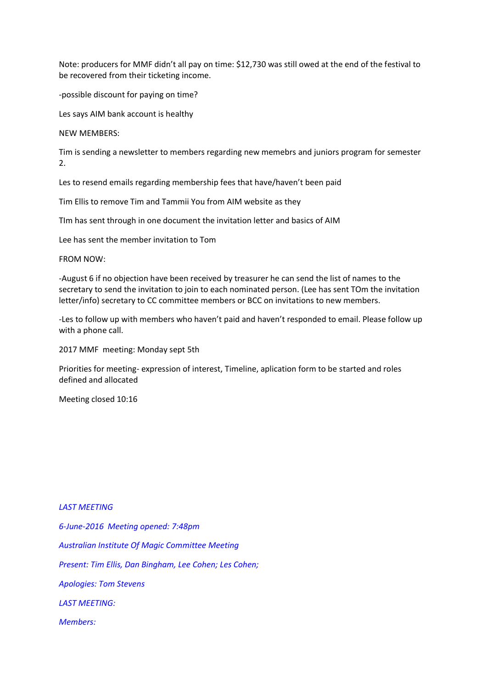Note: producers for MMF didn't all pay on time: \$12,730 was still owed at the end of the festival to be recovered from their ticketing income.

-possible discount for paying on time?

Les says AIM bank account is healthy

NEW MEMBERS:

Tim is sending a newsletter to members regarding new memebrs and juniors program for semester 2.

Les to resend emails regarding membership fees that have/haven't been paid

Tim Ellis to remove Tim and Tammii You from AIM website as they

TIm has sent through in one document the invitation letter and basics of AIM

Lee has sent the member invitation to Tom

FROM NOW:

-August 6 if no objection have been received by treasurer he can send the list of names to the secretary to send the invitation to join to each nominated person. (Lee has sent TOm the invitation letter/info) secretary to CC committee members or BCC on invitations to new members.

-Les to follow up with members who haven't paid and haven't responded to email. Please follow up with a phone call.

2017 MMF meeting: Monday sept 5th

Priorities for meeting- expression of interest, Timeline, aplication form to be started and roles defined and allocated

Meeting closed 10:16

## *LAST MEETING*

*6-June-2016 Meeting opened: 7:48pm Australian Institute Of Magic Committee Meeting Present: Tim Ellis, Dan Bingham, Lee Cohen; Les Cohen; Apologies: Tom Stevens LAST MEETING: Members:*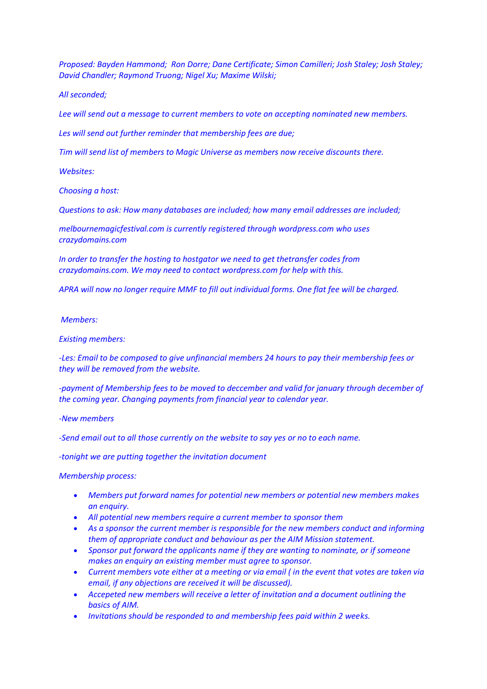*Proposed: Bayden Hammond; Ron Dorre; Dane Certificate; Simon Camilleri; Josh Staley; Josh Staley; David Chandler; Raymond Truong; Nigel Xu; Maxime Wilski;*

*All seconded;*

*Lee will send out a message to current members to vote on accepting nominated new members.*

*Les will send out further reminder that membership fees are due;*

*Tim will send list of members to Magic Universe as members now receive discounts there.*

*Websites:*

*Choosing a host:*

*Questions to ask: How many databases are included; how many email addresses are included;*

*melbournemagicfestival.com is currently registered through wordpress.com who uses crazydomains.com*

*In order to transfer the hosting to hostgator we need to get thetransfer codes from crazydomains.com. We may need to contact wordpress.com for help with this.*

*APRA will now no longer require MMF to fill out individual forms. One flat fee will be charged.*

*Members:*

*Existing members:*

*-Les: Email to be composed to give unfinancial members 24 hours to pay their membership fees or they will be removed from the website.*

*-payment of Membership fees to be moved to deccember and valid for january through december of the coming year. Changing payments from financial year to calendar year.*

*-New members*

*-Send email out to all those currently on the website to say yes or no to each name.*

*-tonight we are putting together the invitation document*

*Membership process:*

- *Members put forward names for potential new members or potential new members makes an enquiry.*
- *All potential new members require a current member to sponsor them*
- *As a sponsor the current member is responsible for the new members conduct and informing them of appropriate conduct and behaviour as per the AIM Mission statement.*
- *Sponsor put forward the applicants name if they are wanting to nominate, or if someone makes an enquiry an existing member must agree to sponsor.*
- *Current members vote either at a meeting or via email ( in the event that votes are taken via email, if any objections are received it will be discussed).*
- *Accepeted new members will receive a letter of invitation and a document outlining the basics of AIM.*
- *Invitations should be responded to and membership fees paid within 2 weeks.*